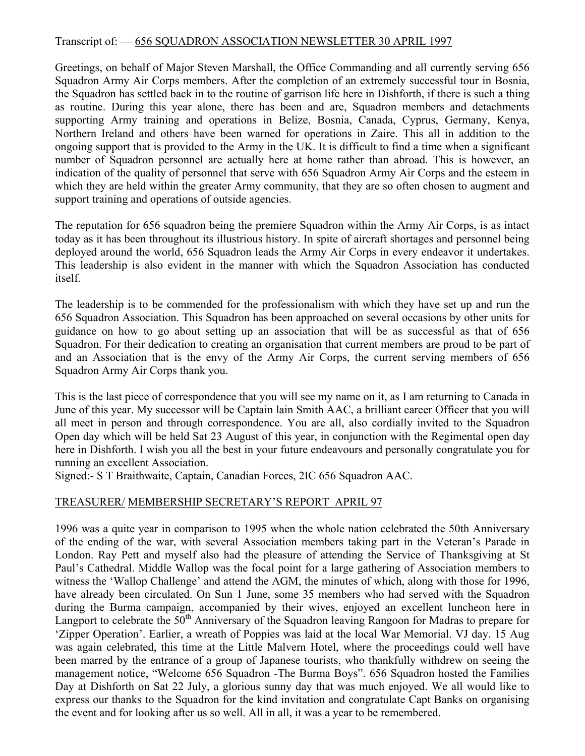## Transcript of: — 656 SQUADRON ASSOCIATION NEWSLETTER 30 APRIL 1997

Greetings, on behalf of Major Steven Marshall, the Office Commanding and all currently serving 656 Squadron Army Air Corps members. After the completion of an extremely successful tour in Bosnia, the Squadron has settled back in to the routine of garrison life here in Dishforth, if there is such a thing as routine. During this year alone, there has been and are, Squadron members and detachments supporting Army training and operations in Belize, Bosnia, Canada, Cyprus, Germany, Kenya, Northern Ireland and others have been warned for operations in Zaire. This all in addition to the ongoing support that is provided to the Army in the UK. It is difficult to find a time when a significant number of Squadron personnel are actually here at home rather than abroad. This is however, an indication of the quality of personnel that serve with 656 Squadron Army Air Corps and the esteem in which they are held within the greater Army community, that they are so often chosen to augment and support training and operations of outside agencies.

The reputation for 656 squadron being the premiere Squadron within the Army Air Corps, is as intact today as it has been throughout its illustrious history. In spite of aircraft shortages and personnel being deployed around the world, 656 Squadron leads the Army Air Corps in every endeavor it undertakes. This leadership is also evident in the manner with which the Squadron Association has conducted itself.

The leadership is to be commended for the professionalism with which they have set up and run the 656 Squadron Association. This Squadron has been approached on several occasions by other units for guidance on how to go about setting up an association that will be as successful as that of 656 Squadron. For their dedication to creating an organisation that current members are proud to be part of and an Association that is the envy of the Army Air Corps, the current serving members of 656 Squadron Army Air Corps thank you.

This is the last piece of correspondence that you will see my name on it, as I am returning to Canada in June of this year. My successor will be Captain lain Smith AAC, a brilliant career Officer that you will all meet in person and through correspondence. You are all, also cordially invited to the Squadron Open day which will be held Sat 23 August of this year, in conjunction with the Regimental open day here in Dishforth. I wish you all the best in your future endeavours and personally congratulate you for running an excellent Association.

Signed:- S T Braithwaite, Captain, Canadian Forces, 2IC 656 Squadron AAC.

# TREASURER/ MEMBERSHIP SECRETARY'S REPORT APRIL 97

1996 was a quite year in comparison to 1995 when the whole nation celebrated the 50th Anniversary of the ending of the war, with several Association members taking part in the Veteran's Parade in London. Ray Pett and myself also had the pleasure of attending the Service of Thanksgiving at St Paul's Cathedral. Middle Wallop was the focal point for a large gathering of Association members to witness the 'Wallop Challenge' and attend the AGM, the minutes of which, along with those for 1996, have already been circulated. On Sun 1 June, some 35 members who had served with the Squadron during the Burma campaign, accompanied by their wives, enjoyed an excellent luncheon here in Langport to celebrate the 50<sup>th</sup> Anniversary of the Squadron leaving Rangoon for Madras to prepare for 'Zipper Operation'. Earlier, a wreath of Poppies was laid at the local War Memorial. VJ day. 15 Aug was again celebrated, this time at the Little Malvern Hotel, where the proceedings could well have been marred by the entrance of a group of Japanese tourists, who thankfully withdrew on seeing the management notice, "Welcome 656 Squadron -The Burma Boys". 656 Squadron hosted the Families Day at Dishforth on Sat 22 July, a glorious sunny day that was much enjoyed. We all would like to express our thanks to the Squadron for the kind invitation and congratulate Capt Banks on organising the event and for looking after us so well. All in all, it was a year to be remembered.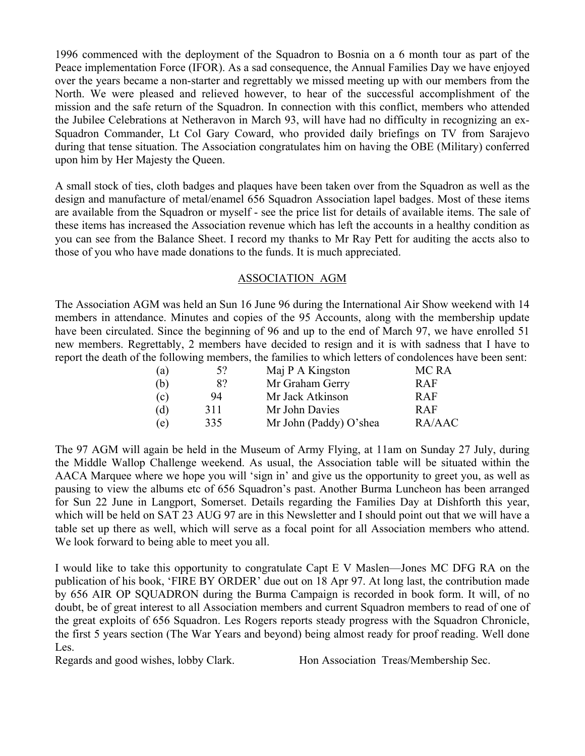1996 commenced with the deployment of the Squadron to Bosnia on a 6 month tour as part of the Peace implementation Force (IFOR). As a sad consequence, the Annual Families Day we have enjoyed over the years became a non-starter and regrettably we missed meeting up with our members from the North. We were pleased and relieved however, to hear of the successful accomplishment of the mission and the safe return of the Squadron. In connection with this conflict, members who attended the Jubilee Celebrations at Netheravon in March 93, will have had no difficulty in recognizing an ex-Squadron Commander, Lt Col Gary Coward, who provided daily briefings on TV from Sarajevo during that tense situation. The Association congratulates him on having the OBE (Military) conferred upon him by Her Majesty the Queen.

A small stock of ties, cloth badges and plaques have been taken over from the Squadron as well as the design and manufacture of metal/enamel 656 Squadron Association lapel badges. Most of these items are available from the Squadron or myself - see the price list for details of available items. The sale of these items has increased the Association revenue which has left the accounts in a healthy condition as you can see from the Balance Sheet. I record my thanks to Mr Ray Pett for auditing the accts also to those of you who have made donations to the funds. It is much appreciated.

### ASSOCIATION AGM

The Association AGM was held an Sun 16 June 96 during the International Air Show weekend with 14 members in attendance. Minutes and copies of the 95 Accounts, along with the membership update have been circulated. Since the beginning of 96 and up to the end of March 97, we have enrolled 51 new members. Regrettably, 2 members have decided to resign and it is with sadness that I have to report the death of the following members, the families to which letters of condolences have been sent:

| (a) | 5?  | Maj P A Kingston       | MC RA  |
|-----|-----|------------------------|--------|
| (b) | 8?  | Mr Graham Gerry        | RAF    |
| (c) | 94  | Mr Jack Atkinson       | RAF    |
| (d) | 311 | Mr John Davies         | RAF    |
| (e) | 335 | Mr John (Paddy) O'shea | RA/AAC |

The 97 AGM will again be held in the Museum of Army Flying, at 11am on Sunday 27 July, during the Middle Wallop Challenge weekend. As usual, the Association table will be situated within the AACA Marquee where we hope you will 'sign in' and give us the opportunity to greet you, as well as pausing to view the albums etc of 656 Squadron's past. Another Burma Luncheon has been arranged for Sun 22 June in Langport, Somerset. Details regarding the Families Day at Dishforth this year, which will be held on SAT 23 AUG 97 are in this Newsletter and I should point out that we will have a table set up there as well, which will serve as a focal point for all Association members who attend. We look forward to being able to meet you all.

I would like to take this opportunity to congratulate Capt E V Maslen—Jones MC DFG RA on the publication of his book, 'FIRE BY ORDER' due out on 18 Apr 97. At long last, the contribution made by 656 AIR OP SQUADRON during the Burma Campaign is recorded in book form. It will, of no doubt, be of great interest to all Association members and current Squadron members to read of one of the great exploits of 656 Squadron. Les Rogers reports steady progress with the Squadron Chronicle, the first 5 years section (The War Years and beyond) being almost ready for proof reading. Well done Les.

Regards and good wishes, lobby Clark. Hon Association Treas/Membership Sec.